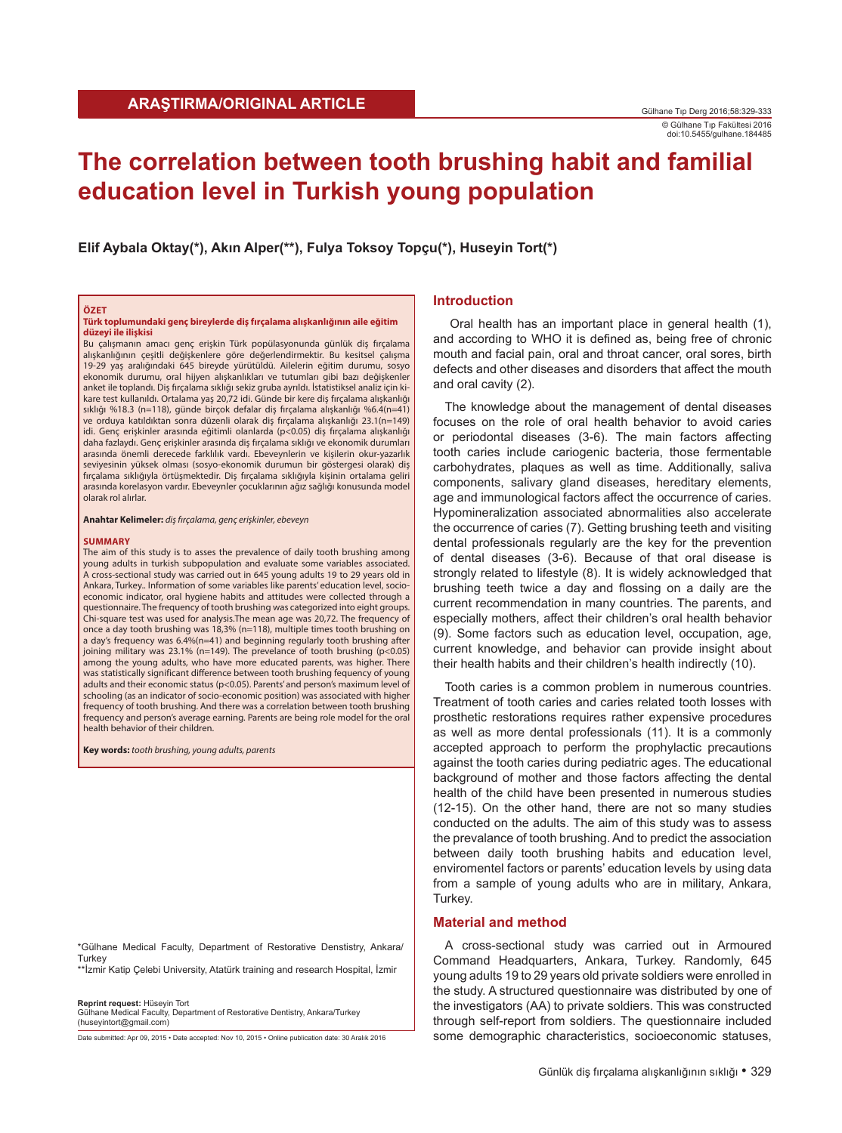# **The correlation between tooth brushing habit and familial education level in Turkish young population**

**Elif Aybala Oktay(\*), Akın Alper(\*\*), Fulya Toksoy Topçu(\*), Huseyin Tort(\*)**

#### **ÖZET**

**Türk toplumundaki genç bireylerde diş fırçalama alışkanlığının aile eğitim düzeyi ile ilişkisi**

Bu çalışmanın amacı genç erişkin Türk popülasyonunda günlük diş fırçalama alışkanlığının çeşitli değişkenlere göre değerlendirmektir. Bu kesitsel çalışma 19-29 yaş aralığındaki 645 bireyde yürütüldü. Ailelerin eğitim durumu, sosyo ekonomik durumu, oral hijyen alışkanlıkları ve tutumları gibi bazı değişkenler anket ile toplandı. Diş fırçalama sıklığı sekiz gruba ayrıldı. İstatistiksel analiz için kikare test kullanıldı. Ortalama yaş 20,72 idi. Günde bir kere diş fırçalama alışkanlığı sıklığı %18.3 (n=118), günde birçok defalar diş fırçalama alışkanlığı %6.4(n=41) ve orduya katıldıktan sonra düzenli olarak diş fırçalama alışkanlığı 23.1(n=149) idi. Genç erişkinler arasında eğitimli olanlarda (p<0.05) diş fırçalama alışkanlığı daha fazlaydı. Genç erişkinler arasında diş fırçalama sıklığı ve ekonomik durumları arasında önemli derecede farklılık vardı. Ebeveynlerin ve kişilerin okur-yazarlık seviyesinin yüksek olması (sosyo-ekonomik durumun bir göstergesi olarak) diş fırçalama sıklığıyla örtüşmektedir. Diş fırçalama sıklığıyla kişinin ortalama geliri arasında korelasyon vardır. Ebeveynler çocuklarının ağız sağlığı konusunda model olarak rol alırlar.

**Anahtar Kelimeler:** *diş fırçalama, genç erişkinler, ebeveyn*

#### **SUMMARY**

The aim of this study is to asses the prevalence of daily tooth brushing among young adults in turkish subpopulation and evaluate some variables associated. A cross-sectional study was carried out in 645 young adults 19 to 29 years old in Ankara, Turkey.. Information of some variables like parents' education level, socioeconomic indicator, oral hygiene habits and attitudes were collected through a questionnaire. The frequency of tooth brushing was categorized into eight groups. Chi-square test was used for analysis.The mean age was 20,72. The frequency of once a day tooth brushing was 18,3% (n=118), multiple times tooth brushing on a day's frequency was 6.4%(n=41) and beginning regularly tooth brushing after joining military was 23.1% (n=149). The prevelance of tooth brushing (p<0.05) among the young adults, who have more educated parents, was higher. There was statistically significant difference between tooth brushing fequency of young adults and their economic status (p<0.05). Parents' and person's maximum level of schooling (as an indicator of socio-economic position) was associated with higher frequency of tooth brushing. And there was a correlation between tooth brushing frequency and person's average earning. Parents are being role model for the oral health behavior of their children.

**Key words:** *tooth brushing, young adults, parents*

\*Gülhane Medical Faculty, Department of Restorative Denstistry, Ankara/ Turkey

\*\*İzmir Katip Çelebi University, Atatürk training and research Hospital, İzmir

**Reprint request:** Hüseyin Tort

Gülhane Medical Faculty, Department of Restorative Dentistry, Ankara/Turkey (huseyintort@gmail.com)

Date submitted: Apr 09, 2015 • Date accepted: Nov 10, 2015 • Online publication date: 30 Aralık 2016

## **Introduction**

 Oral health has an important place in general health (1), and according to WHO it is defined as, being free of chronic mouth and facial pain, oral and throat cancer, oral sores, birth defects and other diseases and disorders that affect the mouth and oral cavity (2).

The knowledge about the management of dental diseases focuses on the role of oral health behavior to avoid caries or periodontal diseases (3-6). The main factors affecting tooth caries include cariogenic bacteria, those fermentable carbohydrates, plaques as well as time. Additionally, saliva components, salivary gland diseases, hereditary elements, age and immunological factors affect the occurrence of caries. Hypomineralization associated abnormalities also accelerate the occurrence of caries (7). Getting brushing teeth and visiting dental professionals regularly are the key for the prevention of dental diseases (3-6). Because of that oral disease is strongly related to lifestyle (8). It is widely acknowledged that brushing teeth twice a day and flossing on a daily are the current recommendation in many countries. The parents, and especially mothers, affect their children's oral health behavior (9). Some factors such as education level, occupation, age, current knowledge, and behavior can provide insight about their health habits and their children's health indirectly (10).

Tooth caries is a common problem in numerous countries. Treatment of tooth caries and caries related tooth losses with prosthetic restorations requires rather expensive procedures as well as more dental professionals (11). It is a commonly accepted approach to perform the prophylactic precautions against the tooth caries during pediatric ages. The educational background of mother and those factors affecting the dental health of the child have been presented in numerous studies (12-15). On the other hand, there are not so many studies conducted on the adults. The aim of this study was to assess the prevalance of tooth brushing. And to predict the association between daily tooth brushing habits and education level, enviromentel factors or parents' education levels by using data from a sample of young adults who are in military, Ankara, Turkey.

### **Material and method**

A cross-sectional study was carried out in Armoured Command Headquarters, Ankara, Turkey. Randomly, 645 young adults 19 to 29 years old private soldiers were enrolled in the study. A structured questionnaire was distributed by one of the investigators (AA) to private soldiers. This was constructed through self-report from soldiers. The questionnaire included some demographic characteristics, socioeconomic statuses,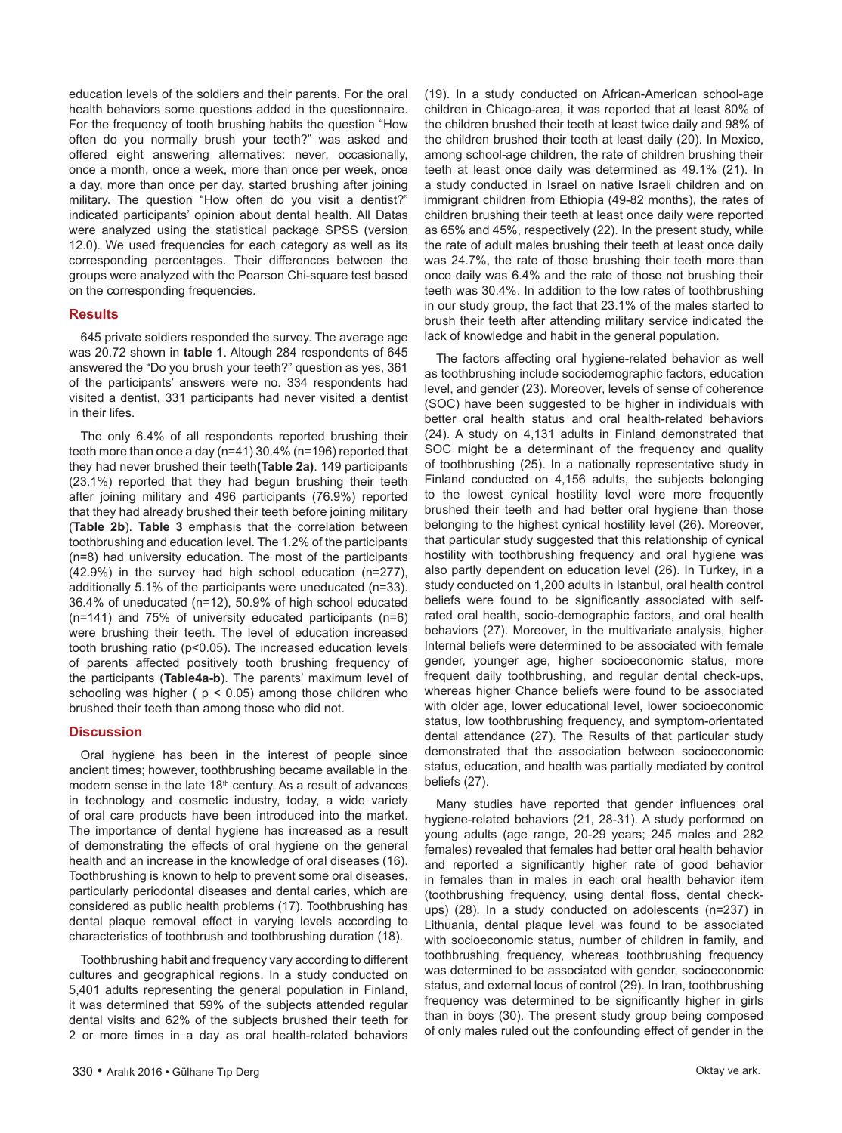education levels of the soldiers and their parents. For the oral health behaviors some questions added in the questionnaire. For the frequency of tooth brushing habits the question "How often do you normally brush your teeth?" was asked and offered eight answering alternatives: never, occasionally, once a month, once a week, more than once per week, once a day, more than once per day, started brushing after joining military. The question "How often do you visit a dentist?" indicated participants' opinion about dental health. All Datas were analyzed using the statistical package SPSS (version 12.0). We used frequencies for each category as well as its corresponding percentages. Their differences between the groups were analyzed with the Pearson Chi-square test based on the corresponding frequencies.

## **Results**

645 private soldiers responded the survey. The average age was 20.72 shown in **table 1**. Altough 284 respondents of 645 answered the "Do you brush your teeth?" question as yes, 361 of the participants' answers were no. 334 respondents had visited a dentist, 331 participants had never visited a dentist in their lifes.

The only 6.4% of all respondents reported brushing their teeth more than once a day (n=41) 30.4% (n=196) reported that they had never brushed their teeth**(Table 2a)**. 149 participants (23.1%) reported that they had begun brushing their teeth after joining military and 496 participants (76.9%) reported that they had already brushed their teeth before joining military (**Table 2b**). **Table 3** emphasis that the correlation between toothbrushing and education level. The 1.2% of the participants (n=8) had university education. The most of the participants (42.9%) in the survey had high school education (n=277), additionally 5.1% of the participants were uneducated (n=33). 36.4% of uneducated (n=12), 50.9% of high school educated (n=141) and 75% of university educated participants (n=6) were brushing their teeth. The level of education increased tooth brushing ratio (p<0.05). The increased education levels of parents affected positively tooth brushing frequency of the participants (**Table4a-b**). The parents' maximum level of schooling was higher ( $p < 0.05$ ) among those children who brushed their teeth than among those who did not.

## **Discussion**

Oral hygiene has been in the interest of people since ancient times; however, toothbrushing became available in the modern sense in the late 18<sup>th</sup> century. As a result of advances in technology and cosmetic industry, today, a wide variety of oral care products have been introduced into the market. The importance of dental hygiene has increased as a result of demonstrating the effects of oral hygiene on the general health and an increase in the knowledge of oral diseases (16). Toothbrushing is known to help to prevent some oral diseases, particularly periodontal diseases and dental caries, which are considered as public health problems (17). Toothbrushing has dental plaque removal effect in varying levels according to characteristics of toothbrush and toothbrushing duration (18).

Toothbrushing habit and frequency vary according to different cultures and geographical regions. In a study conducted on 5,401 adults representing the general population in Finland, it was determined that 59% of the subjects attended regular dental visits and 62% of the subjects brushed their teeth for 2 or more times in a day as oral health-related behaviors (19). In a study conducted on African-American school-age children in Chicago-area, it was reported that at least 80% of the children brushed their teeth at least twice daily and 98% of the children brushed their teeth at least daily (20). In Mexico, among school-age children, the rate of children brushing their teeth at least once daily was determined as 49.1% (21). In a study conducted in Israel on native Israeli children and on immigrant children from Ethiopia (49-82 months), the rates of children brushing their teeth at least once daily were reported as 65% and 45%, respectively (22). In the present study, while the rate of adult males brushing their teeth at least once daily was 24.7%, the rate of those brushing their teeth more than once daily was 6.4% and the rate of those not brushing their teeth was 30.4%. In addition to the low rates of toothbrushing in our study group, the fact that 23.1% of the males started to brush their teeth after attending military service indicated the lack of knowledge and habit in the general population.

The factors affecting oral hygiene-related behavior as well as toothbrushing include sociodemographic factors, education level, and gender (23). Moreover, levels of sense of coherence (SOC) have been suggested to be higher in individuals with better oral health status and oral health-related behaviors (24). A study on 4,131 adults in Finland demonstrated that SOC might be a determinant of the frequency and quality of toothbrushing (25). In a nationally representative study in Finland conducted on 4,156 adults, the subjects belonging to the lowest cynical hostility level were more frequently brushed their teeth and had better oral hygiene than those belonging to the highest cynical hostility level (26). Moreover, that particular study suggested that this relationship of cynical hostility with toothbrushing frequency and oral hygiene was also partly dependent on education level (26). In Turkey, in a study conducted on 1,200 adults in Istanbul, oral health control beliefs were found to be significantly associated with selfrated oral health, socio-demographic factors, and oral health behaviors (27). Moreover, in the multivariate analysis, higher Internal beliefs were determined to be associated with female gender, younger age, higher socioeconomic status, more frequent daily toothbrushing, and regular dental check-ups, whereas higher Chance beliefs were found to be associated with older age, lower educational level, lower socioeconomic status, low toothbrushing frequency, and symptom-orientated dental attendance (27). The Results of that particular study demonstrated that the association between socioeconomic status, education, and health was partially mediated by control beliefs (27).

Many studies have reported that gender influences oral hygiene-related behaviors (21, 28-31). A study performed on young adults (age range, 20-29 years; 245 males and 282 females) revealed that females had better oral health behavior and reported a significantly higher rate of good behavior in females than in males in each oral health behavior item (toothbrushing frequency, using dental floss, dental checkups) (28). In a study conducted on adolescents (n=237) in Lithuania, dental plaque level was found to be associated with socioeconomic status, number of children in family, and toothbrushing frequency, whereas toothbrushing frequency was determined to be associated with gender, socioeconomic status, and external locus of control (29). In Iran, toothbrushing frequency was determined to be significantly higher in girls than in boys (30). The present study group being composed of only males ruled out the confounding effect of gender in the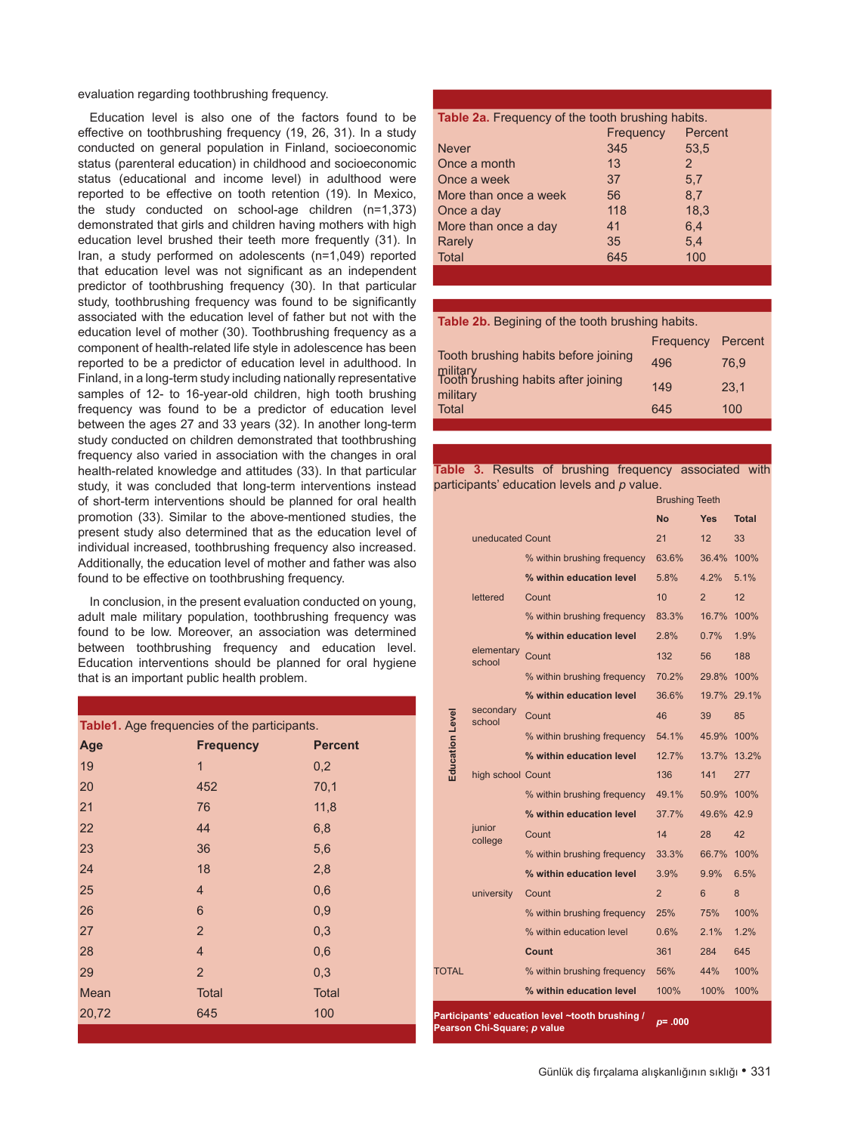evaluation regarding toothbrushing frequency.

Education level is also one of the factors found to be effective on toothbrushing frequency (19, 26, 31). In a study conducted on general population in Finland, socioeconomic status (parenteral education) in childhood and socioeconomic status (educational and income level) in adulthood were reported to be effective on tooth retention (19). In Mexico, the study conducted on school-age children (n=1,373) demonstrated that girls and children having mothers with high education level brushed their teeth more frequently (31). In Iran, a study performed on adolescents (n=1,049) reported that education level was not significant as an independent predictor of toothbrushing frequency (30). In that particular study, toothbrushing frequency was found to be significantly associated with the education level of father but not with the education level of mother (30). Toothbrushing frequency as a component of health-related life style in adolescence has been reported to be a predictor of education level in adulthood. In Finland, in a long-term study including nationally representative samples of 12- to 16-year-old children, high tooth brushing frequency was found to be a predictor of education level between the ages 27 and 33 years (32). In another long-term study conducted on children demonstrated that toothbrushing frequency also varied in association with the changes in oral health-related knowledge and attitudes (33). In that particular study, it was concluded that long-term interventions instead of short-term interventions should be planned for oral health promotion (33). Similar to the above-mentioned studies, the present study also determined that as the education level of individual increased, toothbrushing frequency also increased. Additionally, the education level of mother and father was also found to be effective on toothbrushing frequency.

In conclusion, in the present evaluation conducted on young, adult male military population, toothbrushing frequency was found to be low. Moreover, an association was determined between toothbrushing frequency and education level. Education interventions should be planned for oral hygiene that is an important public health problem.

| Table1. Age frequencies of the participants. |                  |                |  |  |  |
|----------------------------------------------|------------------|----------------|--|--|--|
| Age                                          | <b>Frequency</b> | <b>Percent</b> |  |  |  |
| 19                                           | $\overline{1}$   | 0,2            |  |  |  |
| 20                                           | 452              | 70,1           |  |  |  |
| 21                                           | 76               | 11,8           |  |  |  |
| 22                                           | 44               | 6,8            |  |  |  |
| 23                                           | 36               | 5,6            |  |  |  |
| 24                                           | 18               | 2,8            |  |  |  |
| 25                                           | 4                | 0,6            |  |  |  |
| 26                                           | 6                | 0,9            |  |  |  |
| 27                                           | $\overline{2}$   | 0,3            |  |  |  |
| 28                                           | $\overline{4}$   | 0,6            |  |  |  |
| 29                                           | $\overline{2}$   | 0,3            |  |  |  |
| Mean                                         | <b>Total</b>     | <b>Total</b>   |  |  |  |
| 20,72                                        | 645              | 100            |  |  |  |
|                                              |                  |                |  |  |  |

| Table 2a. Frequency of the tooth brushing habits. |           |         |  |  |
|---------------------------------------------------|-----------|---------|--|--|
|                                                   | Frequency | Percent |  |  |
| <b>Never</b>                                      | 345       | 53,5    |  |  |
| Once a month                                      | 13        | 2       |  |  |
| Once a week                                       | 37        | 5.7     |  |  |
| More than once a week                             | 56        | 8.7     |  |  |
| Once a day                                        | 118       | 18,3    |  |  |
| More than once a day                              | 41        | 6.4     |  |  |
| Rarely                                            | 35        | 5.4     |  |  |
| Total                                             | 645       | 100     |  |  |
|                                                   |           |         |  |  |

**Table 2b.** Begining of the tooth brushing habits.

|                                                                                         | Frequency Percent |      |
|-----------------------------------------------------------------------------------------|-------------------|------|
| Tooth brushing habits before joining<br>military<br>Tooth brushing habits after joining | 496               | 76.9 |
| military                                                                                | 149               | 23.1 |
| <b>Total</b>                                                                            | 645               | 100  |
|                                                                                         |                   |      |

**Table 3.** Results of brushing frequency associated with participants' education levels and *p* value.

|                                                 |                      |                             | <b>Brushing Teeth</b> |                |              |
|-------------------------------------------------|----------------------|-----------------------------|-----------------------|----------------|--------------|
|                                                 |                      |                             | <b>No</b>             | <b>Yes</b>     | <b>Total</b> |
|                                                 | uneducated Count     |                             | 21                    | 12             | 33           |
|                                                 |                      | % within brushing frequency | 63.6%                 | 36.4%          | 100%         |
|                                                 |                      | % within education level    | 5.8%                  | 4.2%           | 5.1%         |
|                                                 | lettered             | Count                       | 10                    | $\overline{2}$ | 12           |
|                                                 |                      | % within brushing frequency | 83.3%                 | 16.7%          | 100%         |
|                                                 |                      | % within education level    | 2.8%                  | $0.7\%$        | 1.9%         |
|                                                 | elementary<br>school | Count                       | 132                   | 56             | 188          |
|                                                 |                      | % within brushing frequency | 70.2%                 | 29.8%          | 100%         |
|                                                 |                      | % within education level    | 36.6%                 | 19.7% 29.1%    |              |
|                                                 | secondary<br>school  | Count                       | 46                    | 39             | 85           |
| <b>Education Level</b>                          |                      | % within brushing frequency | 54.1%                 | 45.9%          | 100%         |
|                                                 |                      | % within education level    | 12.7%                 | 13.7%          | 13.2%        |
|                                                 | high school Count    |                             | 136                   | 141            | 277          |
|                                                 |                      | % within brushing frequency | 49.1%                 | 50.9%          | 100%         |
|                                                 |                      | % within education level    | 37.7%                 | 49.6% 42.9     |              |
|                                                 | junior<br>college    | Count                       | 14                    | 28             | 42           |
|                                                 |                      | % within brushing frequency | 33.3%                 | 66.7%          | 100%         |
|                                                 |                      | % within education level    | 3.9%                  | 9.9%           | 6.5%         |
|                                                 | university           | Count                       | $\overline{2}$        | 6              | 8            |
|                                                 |                      | % within brushing frequency | 25%                   | 75%            | 100%         |
|                                                 |                      | % within education level    | 0.6%                  | 2.1%           | 1.2%         |
|                                                 |                      | Count                       | 361                   | 284            | 645          |
| TOTAL                                           |                      | % within brushing frequency | 56%                   | 44%            | 100%         |
|                                                 |                      | % within education level    | 100%                  | 100%           | 100%         |
| Participants' education level ~tooth brushing / |                      |                             | 000                   |                |              |

**Pearson Chi-Square;** *p* **value** *<sup>p</sup>***= .000**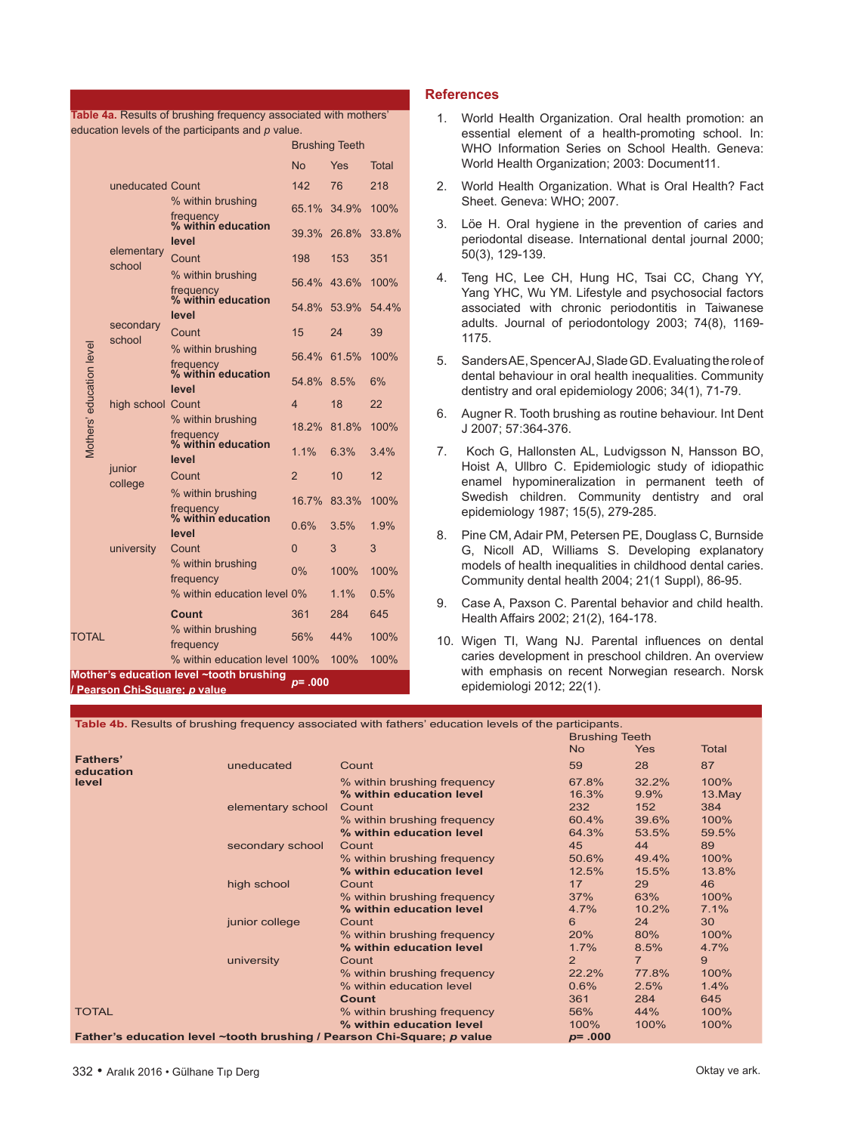|                          |                                          |                                          | <b>Brushing Teeth</b> |       |       |
|--------------------------|------------------------------------------|------------------------------------------|-----------------------|-------|-------|
|                          | uneducated Count<br>elementary<br>school |                                          | <b>No</b>             | Yes   | Total |
|                          |                                          |                                          | 142                   | 76    | 218   |
|                          |                                          | % within brushing                        | 65.1%                 | 34.9% | 100%  |
|                          |                                          | frequency<br>% within education          | 39.3%                 | 26.8% | 33.8% |
|                          |                                          | level                                    |                       |       |       |
|                          |                                          | Count                                    | 198                   | 153   | 351   |
|                          |                                          | % within brushing                        | 56.4%                 | 43.6% | 100%  |
|                          | secondary                                | frequency<br>% within education          | 54.8%                 | 53.9% | 54.4% |
|                          |                                          | level<br>Count                           | 15                    | 24    | 39    |
|                          | school                                   | % within brushing                        | 56.4%                 | 61.5% | 100%  |
|                          |                                          | frequency<br>% within education          |                       |       |       |
|                          |                                          | level                                    | 54.8%                 | 8.5%  | 6%    |
|                          | high school Count<br>junior              |                                          | $\overline{4}$        | 18    | 22    |
|                          |                                          | % within brushing                        | 18.2%                 | 81.8% | 100%  |
| Mothers' education level |                                          | frequency<br>% within education          | 1.1%                  | 6.3%  | 3.4%  |
|                          |                                          | level<br>Count                           | $\overline{2}$        | 10    | 12    |
|                          | college                                  | % within brushing                        | 16.7%                 | 83.3% | 100%  |
|                          |                                          | frequency<br>% within education          |                       |       |       |
|                          |                                          | level                                    | 0.6%                  | 3.5%  | 1.9%  |
|                          | university                               | Count                                    | $\overline{0}$        | 3     | 3     |
|                          |                                          | % within brushing<br>frequency           | $0\%$                 | 100%  | 100%  |
|                          |                                          | % within education level 0%              |                       | 1.1%  | 0.5%  |
|                          |                                          | Count                                    | 361                   | 284   | 645   |
| TOTAL                    |                                          | % within brushing<br>frequency           | 56%                   | 44%   | 100%  |
|                          |                                          | % within education level 100%            |                       | 100%  | 100%  |
|                          | / Pearson Chi-Square: p value            | Mother's education level ~tooth brushing | 000. = a              |       |       |

**Table 4a.** Results of brushing frequency associated with mothers' education levels of the participants and *p* value.

# **References**

- 1. World Health Organization. Oral health promotion: an essential element of a health-promoting school. In: WHO Information Series on School Health. Geneva: World Health Organization; 2003: Document11.
- 2. World Health Organization. What is Oral Health? Fact Sheet. Geneva: WHO; 2007.
- 3. Löe H. Oral hygiene in the prevention of caries and periodontal disease. International dental journal 2000; 50(3), 129-139.
- 4. Teng HC, Lee CH, Hung HC, Tsai CC, Chang YY, Yang YHC, Wu YM. Lifestyle and psychosocial factors associated with chronic periodontitis in Taiwanese adults. Journal of periodontology 2003; 74(8), 1169- 1175.
- 5. Sanders AE, Spencer AJ, Slade GD. Evaluating the role of dental behaviour in oral health inequalities. Community dentistry and oral epidemiology 2006; 34(1), 71-79.
- 6. Augner R. Tooth brushing as routine behaviour. Int Dent J 2007; 57:364-376.
- 7. Koch G, Hallonsten AL, Ludvigsson N, Hansson BO, Hoist A, Ullbro C. Epidemiologic study of idiopathic enamel hypomineralization in permanent teeth of Swedish children. Community dentistry and oral epidemiology 1987; 15(5), 279-285.
- 8. Pine CM, Adair PM, Petersen PE, Douglass C, Burnside G, Nicoll AD, Williams S. Developing explanatory models of health inequalities in childhood dental caries. Community dental health 2004; 21(1 Suppl), 86-95.
- 9. Case A, Paxson C. Parental behavior and child health. Health Affairs 2002; 21(2), 164-178.
- 10. Wigen TI, Wang NJ. Parental influences on dental caries development in preschool children. An overview with emphasis on recent Norwegian research. Norsk epidemiologi 2012; 22(1).

|                       |                                                                                      | Table 4b. Results of brushing frequency associated with fathers' education levels of the participants. |                |                |              |
|-----------------------|--------------------------------------------------------------------------------------|--------------------------------------------------------------------------------------------------------|----------------|----------------|--------------|
|                       | <b>Brushing Teeth</b>                                                                |                                                                                                        |                |                |              |
|                       |                                                                                      |                                                                                                        | <b>No</b>      | Yes            | <b>Total</b> |
| Fathers'<br>education | uneducated                                                                           | Count                                                                                                  | 59             | 28             | 87           |
| level                 |                                                                                      | % within brushing frequency                                                                            | 67.8%          | 32.2%          | 100%         |
|                       |                                                                                      | % within education level                                                                               | 16.3%          | 9.9%           | 13.May       |
|                       | elementary school                                                                    | Count                                                                                                  | 232            | 152            | 384          |
|                       |                                                                                      | % within brushing frequency                                                                            | 60.4%          | 39.6%          | 100%         |
|                       |                                                                                      | % within education level                                                                               | 64.3%          | 53.5%          | 59.5%        |
|                       | secondary school                                                                     | Count                                                                                                  | 45             | 44             | 89           |
|                       |                                                                                      | % within brushing frequency                                                                            | 50.6%          | 49.4%          | 100%         |
|                       |                                                                                      | % within education level                                                                               | 12.5%          | 15.5%          | 13.8%        |
|                       | high school                                                                          | Count                                                                                                  | 17             | 29             | 46           |
|                       |                                                                                      | % within brushing frequency                                                                            | 37%            | 63%            | 100%         |
|                       |                                                                                      | % within education level                                                                               | 4.7%           | 10.2%          | 7.1%         |
|                       | junior college                                                                       | Count                                                                                                  | 6              | 24             | 30           |
|                       |                                                                                      | % within brushing frequency                                                                            | 20%            | 80%            | 100%         |
|                       |                                                                                      | % within education level                                                                               | 1.7%           | 8.5%           | 4.7%         |
|                       | university                                                                           | Count                                                                                                  | $\overline{2}$ | $\overline{7}$ | 9            |
|                       |                                                                                      | % within brushing frequency                                                                            | 22.2%          | 77.8%          | 100%         |
|                       |                                                                                      | % within education level                                                                               | 0.6%           | 2.5%           | 1.4%         |
|                       |                                                                                      | Count                                                                                                  | 361            | 284            | 645          |
| <b>TOTAL</b>          |                                                                                      | % within brushing frequency                                                                            | 56%            | 44%            | 100%         |
|                       |                                                                                      | % within education level                                                                               | 100%           | 100%           | 100%         |
|                       | Father's education level ~tooth brushing / Pearson Chi-Square; p value<br>$p = .000$ |                                                                                                        |                |                |              |